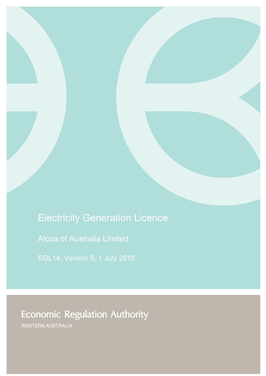# Electricity Generation Licence

Alcoa of Australia Limited

# **Economic Regulation Authority**

WESTERN AUSTRALIA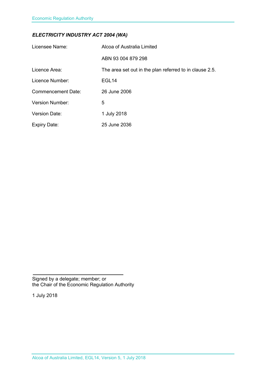### *ELECTRICITY INDUSTRY ACT 2004 (WA)*

| Licensee Name:            | Alcoa of Australia Limited                              |
|---------------------------|---------------------------------------------------------|
|                           | ABN 93 004 879 298                                      |
| Licence Area:             | The area set out in the plan referred to in clause 2.5. |
| Licence Number:           | EGL <sub>14</sub>                                       |
| <b>Commencement Date:</b> | 26 June 2006                                            |
| Version Number:           | 5                                                       |
| <b>Version Date:</b>      | 1 July 2018                                             |
| <b>Expiry Date:</b>       | 25 June 2036                                            |

Signed by a delegate; member; or the Chair of the Economic Regulation Authority

1 July 2018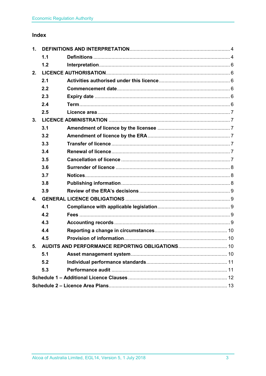### Index

| 1.                                                 |     |  |  |
|----------------------------------------------------|-----|--|--|
|                                                    | 1.1 |  |  |
|                                                    | 1.2 |  |  |
| 2.                                                 |     |  |  |
|                                                    | 2.1 |  |  |
|                                                    | 2.2 |  |  |
|                                                    | 2.3 |  |  |
|                                                    | 2.4 |  |  |
|                                                    | 2.5 |  |  |
| 3.                                                 |     |  |  |
|                                                    | 3.1 |  |  |
|                                                    | 3.2 |  |  |
|                                                    | 3.3 |  |  |
|                                                    | 3.4 |  |  |
|                                                    | 3.5 |  |  |
|                                                    | 3.6 |  |  |
|                                                    | 3.7 |  |  |
|                                                    | 3.8 |  |  |
|                                                    | 3.9 |  |  |
| $\mathbf{4}$ .                                     |     |  |  |
|                                                    | 4.1 |  |  |
|                                                    | 4.2 |  |  |
|                                                    | 4.3 |  |  |
|                                                    | 4.4 |  |  |
|                                                    | 4.5 |  |  |
| 5. AUDITS AND PERFORMANCE REPORTING OBLIGATIONS 10 |     |  |  |
|                                                    | 5.1 |  |  |
|                                                    | 5.2 |  |  |
|                                                    | 5.3 |  |  |
|                                                    |     |  |  |
|                                                    |     |  |  |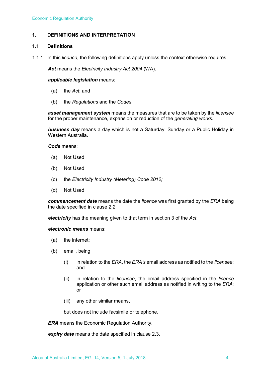#### <span id="page-3-0"></span>**1. DEFINITIONS AND INTERPRETATION**

#### <span id="page-3-1"></span>**1.1 Definitions**

1.1.1 In this *licence*, the following definitions apply unless the context otherwise requires:

*Act* means the *Electricity Industry Act 2004* (WA).

#### *applicable legislation* means:

- (a) the *Act*; and
- (b) the *Regulations* and the *Codes*.

*asset management system* means the measures that are to be taken by the *licensee* for the proper maintenance, expansion or reduction of the *generating works*.

*business day* means a day which is not a Saturday, Sunday or a Public Holiday in Western Australia.

*Code* means:

- (a) Not Used
- (b) Not Used
- (c) the *Electricity Industry (Metering) Code 2012;*
- (d) Not Used

*commencement date* means the date the *licence* was first granted by the *ERA* being the date specified in clause 2.2.

*electricity* has the meaning given to that term in section 3 of the *Act*.

*electronic means* means:

- (a) the internet;
- (b) email, being:
	- (i) in relation to the *ERA*, the *ERA's* email address as notified to the *licensee*; and
	- (ii) in relation to the *licensee*, the email address specified in the *licence* application or other such email address as notified in writing to the *ERA*; or
	- (iii) any other similar means,

but does not include facsimile or telephone.

*ERA* means the Economic Regulation Authority.

*expiry date* means the date specified in clause 2.3.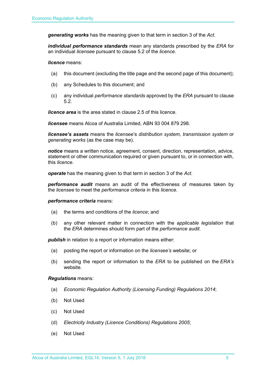*generating works* has the meaning given to that term in section 3 of the *Act.*

*individual performance standards* mean any standards prescribed by the *ERA* for an individual *licensee* pursuant to clause 5.2 of the *licence*.

*licence* means:

- (a) this document (excluding the title page and the second page of this document);
- (b) any Schedules to this document; and
- (c) any individual *performance standards* approved by the *ERA* pursuant to clause 5.2.

*licence area* is the area stated in clause 2.5 of this licence.

*licensee* means Alcoa of Australia Limited, ABN 93 004 879 298.

*licensee's assets* means the *licensee*'s *distribution system*, *transmission system* or *generating works* (as the case may be).

*notice* means a written notice, agreement, consent, direction, representation, advice, statement or other communication required or given pursuant to, or in connection with, this *licence*.

*operate* has the meaning given to that term in section 3 of the *Act*.

*performance audit* means an audit of the effectiveness of measures taken by the *licensee* to meet the *performance criteria* in this *licence*.

#### *performance criteria* means:

- (a) the terms and conditions of the *licence*; and
- (b) any other relevant matter in connection with the *applicable legislation* that the *ERA* determines should form part of the *performance audit*.

**publish** in relation to a report or information means either:

- (a) posting the report or information on the *licensee's* website; or
- (b) sending the report or information to the *ERA* to be published on the *ERA's* website.

#### *Regulations* means:

- (a) *Economic Regulation Authority (Licensing Funding) Regulations 2014*;
- (b) Not Used
- (c) Not Used
- (d) *Electricity Industry (Licence Conditions) Regulations 2005*;
- (e) Not Used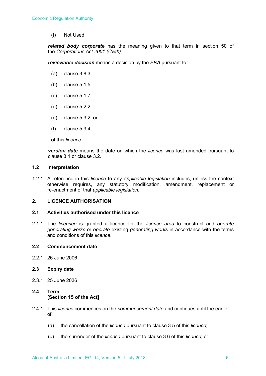(f) Not Used

*related body corporate* has the meaning given to that term in section 50 of the *Corporations Act 2001 (Cwth)*.

*reviewable decision* means a decision by the *ERA* pursuant to:

- (a) clause 3.8.3;
- (b) clause 5.1.5;
- (c) clause 5.1.7;
- (d) clause 5.2.2;
- (e) clause 5.3.2; or
- (f) clause 5.3.4,

of this *licence*.

*version date* means the date on which the *licence* was last amended pursuant to clause 3.1 or clause 3.2.

#### <span id="page-5-0"></span>**1.2 Interpretation**

1.2.1 A reference in this *licence* to any *applicable legislation* includes, unless the context otherwise requires, any statutory modification, amendment, replacement or re-enactment of that *applicable legislation*.

#### <span id="page-5-1"></span>**2. LICENCE AUTHORISATION**

#### <span id="page-5-2"></span>**2.1 Activities authorised under this licence**

2.1.1 The *licensee* is granted a licence for the *licence area* to construct and *operate generating works* or *operate* existing *generating works* in accordance with the terms and conditions of this *licence*.

#### <span id="page-5-3"></span>**2.2 Commencement date**

2.2.1 26 June 2006

#### <span id="page-5-4"></span>**2.3 Expiry date**

2.3.1 25 June 2036

#### <span id="page-5-5"></span>**2.4 Term [Section 15 of the Act]**

- 2.4.1 This *licence* commences on the *commencement date* and continues until the earlier of:
	- (a) the cancellation of the *licence* pursuant to clause 3.5 of this *licence*;
	- (b) the surrender of the *licence* pursuant to clause 3.6 of this *licence*; or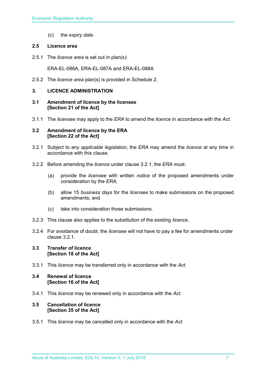(c) the *expiry date*.

#### <span id="page-6-0"></span>**2.5 Licence area**

2.5.1 The *licence area* is set out in plan(s):

ERA-EL-086A, ERA-EL-087A and ERA-EL-088A

2.5.2 The *licence area* plan(s) is provided in Schedule 2.

#### <span id="page-6-1"></span>**3. LICENCE ADMINISTRATION**

- <span id="page-6-2"></span>**3.1 Amendment of licence by the licensee [Section 21 of the Act]**
- 3.1.1 The *licensee* may apply to the *ERA* to amend the *licence* in accordance with the *Act.*

#### <span id="page-6-3"></span>**3.2 Amendment of licence by the ERA [Section 22 of the Act]**

- 3.2.1 Subject to any *applicable legislation*, the *ERA* may amend the *licence* at any time in accordance with this clause.
- 3.2.2 Before amending the *licence* under clause 3.2.1, the *ERA* must:
	- (a) provide the *licensee* with written *notice* of the proposed amendments under consideration by the *ERA*;
	- (b) allow 15 *business days* for the *licensee* to make submissions on the proposed amendments; and
	- (c) take into consideration those submissions.
- 3.2.3 This clause also applies to the substitution of the existing *licence*.
- 3.2.4 For avoidance of doubt, the *licensee* will not have to pay a fee for amendments under clause 3.2.1.

#### <span id="page-6-4"></span>**3.3 Transfer of licence [Section 18 of the Act]**

3.3.1 This *licence* may be transferred only in accordance with the *Act.*

#### <span id="page-6-5"></span>**3.4 Renewal of licence [Section 16 of the Act]**

3.4.1 This *licence* may be renewed only in accordance with the *Act*.

#### <span id="page-6-6"></span>**3.5 Cancellation of licence [Section 35 of the Act]**

3.5.1 This *licence* may be cancelled only in accordance with the *Act*.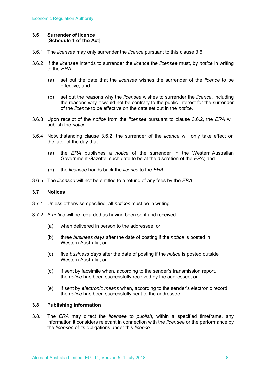#### <span id="page-7-0"></span>**3.6 Surrender of licence [Schedule 1 of the Act]**

- 3.6.1 The *licensee* may only surrender the *licence* pursuant to this clause 3.6.
- 3.6.2 If the *licensee* intends to surrender the *licence* the *licensee* must, by *notice* in writing to the *ERA*:
	- (a) set out the date that the *licensee* wishes the surrender of the *licence* to be effective; and
	- (b) set out the reasons why the *licensee* wishes to surrender the *licence*, including the reasons why it would not be contrary to the public interest for the surrender of the *licence* to be effective on the date set out in the *notice*.
- 3.6.3 Upon receipt of the *notice* from the *licensee* pursuant to clause 3.6.2, the *ERA* will publish the *notice*.
- 3.6.4 Notwithstanding clause 3.6.2, the surrender of the *licence* will only take effect on the later of the day that:
	- (a) the *ERA* publishes a *notice* of the surrender in the Western Australian Government Gazette, such date to be at the discretion of the *ERA*; and
	- (b) the *licensee* hands back the *licence* to the *ERA*.
- 3.6.5 The *licensee* will not be entitled to a refund of any fees by the *ERA*.

#### <span id="page-7-1"></span>**3.7 Notices**

- 3.7.1 Unless otherwise specified, all *notices* must be in writing.
- 3.7.2 A *notice* will be regarded as having been sent and received:
	- (a) when delivered in person to the addressee; or
	- (b) three *business days* after the date of posting if the *notice* is posted in Western Australia; or
	- (c) five *business days* after the date of posting if the *notice* is posted outside Western Australia; or
	- (d) if sent by facsimile when, according to the sender's transmission report, the *notice* has been successfully received by the addressee; or
	- (e) if sent by *electronic means* when, according to the sender's electronic record, the *notice* has been successfully sent to the addressee.

#### <span id="page-7-2"></span>**3.8 Publishing information**

3.8.1 The *ERA* may direct the *licensee* to *publish*, within a specified timeframe, any information it considers relevant in connection with the *licensee* or the performance by the *licensee* of its obligations under this *licence*.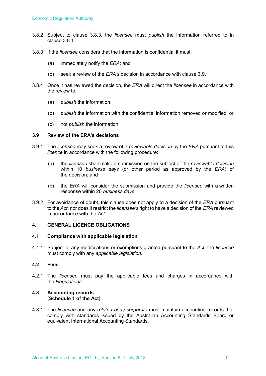- 3.8.2 Subject to clause 3.8.3, the *licensee* must *publish* the information referred to in clause 3.8.1.
- 3.8.3 If the *licensee* considers that the information is confidential it must:
	- (a) immediately notify the *ERA*; and
	- (b) seek a review of the *ERA's* decision in accordance with clause 3.9.
- 3.8.4 Once it has reviewed the decision, the *ERA* will direct the *licensee* in accordance with the review to:
	- (a) *publish* the information;
	- (b) *publish* the information with the confidential information removed or modified; or
	- (c) not *publish* the information.

#### <span id="page-8-0"></span>**3.9 Review of the ERA's decisions**

- 3.9.1 The *licensee* may seek a review of a *reviewable decision* by the *ERA* pursuant to this *licence* in accordance with the following procedure:
	- (a) the *licensee* shall make a submission on the subject of the *reviewable decision* within 10 *business days* (or other period as approved by the *ERA*) of the decision; and
	- (b) the *ERA* will consider the submission and provide the *licensee* with a written response within 20 *business days*.
- 3.9.2 For avoidance of doubt, this clause does not apply to a decision of the *ERA* pursuant to the *Act*, nor does it restrict the *licensee's* right to have a decision of the *ERA* reviewed in accordance with the *Act*.

#### <span id="page-8-1"></span>**4. GENERAL LICENCE OBLIGATIONS**

#### <span id="page-8-2"></span>**4.1 Compliance with applicable legislation**

4.1.1 Subject to any modifications or exemptions granted pursuant to the *Act*, the *licensee* must comply with any *applicable legislation*.

#### <span id="page-8-3"></span>**4.2 Fees**

4.2.1 The *licensee* must pay the applicable fees and charges in accordance with the *Regulations*.

#### <span id="page-8-4"></span>**4.3 Accounting records [Schedule 1 of the Act]**

4.3.1 The *licensee* and any *related body corporate* must maintain accounting records that comply with standards issued by the Australian Accounting Standards Board or equivalent International Accounting Standards.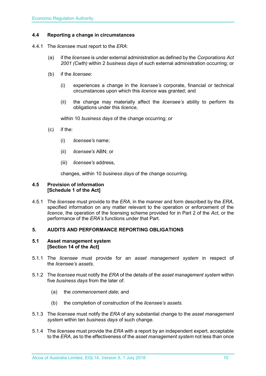#### <span id="page-9-0"></span>**4.4 Reporting a change in circumstances**

- 4.4.1 The *licensee* must report to the *ERA*:
	- (a) if the *licensee* is under external administration as defined by the *Corporations Act 2001 (Cwth)* within 2 *business days* of such external administration occurring; or
	- (b) if the *licensee*:
		- (i) experiences a change in the *licensee's* corporate, financial or technical circumstances upon which this *licence* was granted; and
		- (ii) the change may materially affect the *licensee's* ability to perform its obligations under this *licence*,

within 10 *business days* of the change occurring; or

- (c) if the:
	- (i) *licensee's* name;
	- (ii) *licensee's* ABN; or
	- (iii) *licensee's* address,

changes, within 10 *business days* of the change occurring.

#### <span id="page-9-1"></span>**4.5 Provision of information [Schedule 1 of the Act]**

4.5.1 The *licensee* must provide to the *ERA*, in the manner and form described by the *ERA*, specified information on any matter relevant to the operation or enforcement of the *licence*, the operation of the licensing scheme provided for in Part 2 of the *Act*, or the performance of the *ERA's* functions under that Part.

#### <span id="page-9-2"></span>**5. AUDITS AND PERFORMANCE REPORTING OBLIGATIONS**

#### <span id="page-9-3"></span>**5.1 Asset management system [Section 14 of the Act]**

- 5.1.1 The *licensee* must provide for an *asset management system* in respect of the *licensee's assets*.
- 5.1.2 The *licensee* must notify the *ERA* of the details of the *asset management system* within five *business days* from the later of:
	- (a) the *commencement date*; and
	- (b) the completion of construction of the *licensee's assets*.
- 5.1.3 The *licensee* must notify the *ERA* of any substantial change to the *asset management system* within ten *business days* of such change.
- 5.1.4 The *licensee* must provide the *ERA* with a report by an independent expert, acceptable to the *ERA*, as to the effectiveness of the *asset management system* not less than once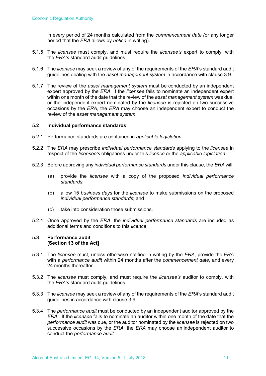in every period of 24 months calculated from the *commencement date (*or any longer period that the *ERA* allows by *notice* in writing).

- 5.1.5 The *licensee* must comply, and must require the *licensee's* expert to comply, with the *ERA's* standard audit guidelines.
- 5.1.6 The *licensee* may seek a review of any of the requirements of the *ERA*'s standard audit guidelines dealing with the *asset management system* in accordance with clause 3.9.
- 5.1.7 The review of the *asset management system* must be conducted by an independent expert approved by the *ERA*. If the *licensee* fails to nominate an independent expert within one month of the date that the review of the *asset management system* was due, or the independent expert nominated by the *licensee* is rejected on two successive occasions by the *ERA*, the *ERA* may choose an independent expert to conduct the review of the *asset management system*.

#### <span id="page-10-0"></span>**5.2 Individual performance standards**

- 5.2.1 Performance standards are contained in *applicable legislation*.
- 5.2.2 The *ERA* may prescribe *individual performance standards* applying to the *licensee* in respect of the *licensee's* obligations under this *licence* or the *applicable legislation*.
- 5.2.3 Before approving any *individual performance standards* under this clause, the *ERA* will:
	- (a) provide the *licensee* with a copy of the proposed *individual performance standards*;
	- (b) allow 15 *business days* for the *licensee* to make submissions on the proposed *individual performance standards*; and
	- (c) take into consideration those submissions.
- 5.2.4 Once approved by the *ERA*, the *individual performance standards* are included as additional terms and conditions to this *licence*.

#### <span id="page-10-1"></span>**5.3 Performance audit [Section 13 of the Act]**

- 5.3.1 The *licensee* must, unless otherwise notified in writing by the *ERA*, provide the *ERA* with a *performance audit* within 24 months after the *commencement date*, and every 24 months thereafter.
- 5.3.2 The *licensee* must comply, and must require the *licensee's* auditor to comply, with the *ERA's* standard audit guidelines.
- 5.3.3 The *licensee* may seek a review of any of the requirements of the *ERA*'s standard audit guidelines in accordance with clause 3.9.
- 5.3.4 The *performance audit* must be conducted by an independent auditor approved by the *ERA*. If the *licensee* fails to nominate an auditor within one month of the date that the *performance audit* was due, or the auditor nominated by the *licensee* is rejected on two successive occasions by the *ERA*, the *ERA* may choose an independent auditor to conduct the *performance audit*.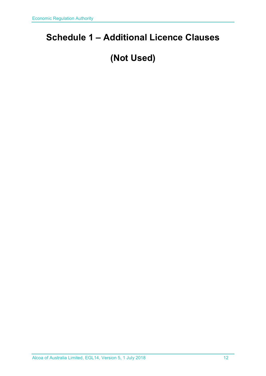### <span id="page-11-0"></span>**Schedule 1 – Additional Licence Clauses**

## **(Not Used)**

Alcoa of Australia Limited, EGL14, Version 5, 1 July 2018 12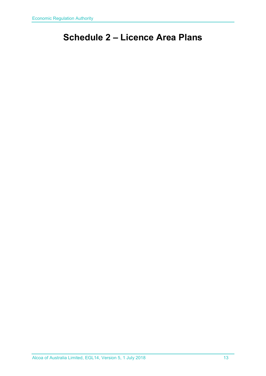### <span id="page-12-0"></span>**Schedule 2 – Licence Area Plans**